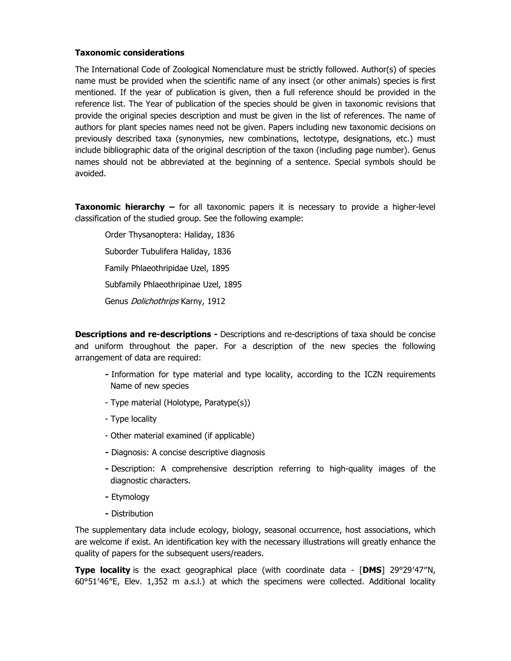## **Taxonomic considerations**

The International Code of Zoological Nomenclature must be strictly followed. Author(s) of species name must be provided when the scientific name of any insect (or other animals) species is first mentioned. If the year of publication is given, then a full reference should be provided in the reference list. The Year of publication of the species should be given in taxonomic revisions that provide the original species description and must be given in the list of references. The name of authors for plant species names need not be given. Papers including new taxonomic decisions on previously described taxa (synonymies, new combinations, lectotype, designations, etc.) must include bibliographic data of the original description of the taxon (including page number). Genus names should not be abbreviated at the beginning of a sentence. Special symbols should be avoided.

**Taxonomic hierarchy –** for all taxonomic papers it is necessary to provide a higher-level classification of the studied group. See the following example:

Order Thysanoptera: Haliday, 1836 Suborder Tubulifera Haliday, 1836 Family Phlaeothripidae Uzel, 1895 Subfamily Phlaeothripinae Uzel, 1895 Genus Dolichothrips Karny, 1912

**Descriptions and re-descriptions -** Descriptions and re-descriptions of taxa should be concise and uniform throughout the paper. For a description of the new species the following arrangement of data are required:

- **-** Information for type material and type locality, according to the ICZN requirements Name of new species
- Type material (Holotype, Paratype(s))
- Type locality
- Other material examined (if applicable)
- **-** Diagnosis: A concise descriptive diagnosis
- **-** Description: A comprehensive description referring to high-quality images of the diagnostic characters.
- **-** Etymology
- **-** Distribution

The supplementary data include ecology, biology, seasonal occurrence, host associations, which are welcome if exist. An identification key with the necessary illustrations will greatly enhance the quality of papers for the subsequent users/readers.

**Type locality** is the exact geographical place (with coordinate data - [**DMS**] 29°29′47″N, 60°51′46″E, Elev. 1,352 m a.s.l.) at which the specimens were collected. Additional locality